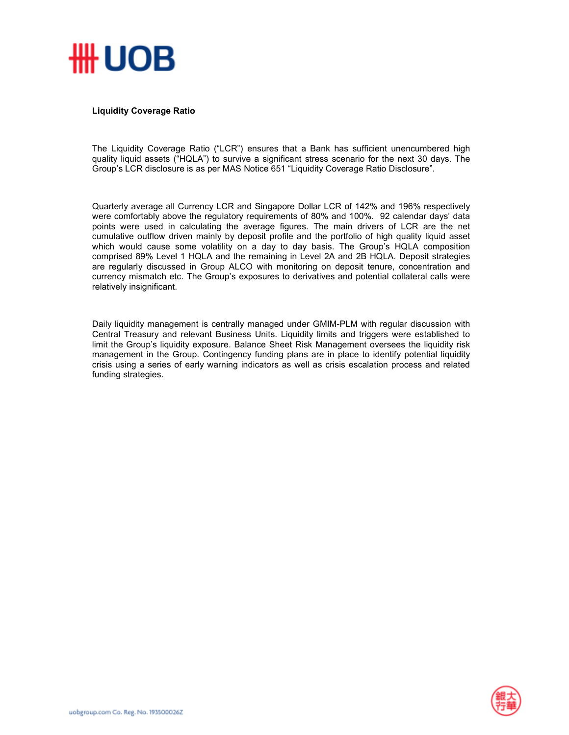

## **Liquidity Coverage Ratio**

The Liquidity Coverage Ratio ("LCR") ensures that a Bank has sufficient unencumbered high quality liquid assets ("HQLA") to survive a significant stress scenario for the next 30 days. The Group's LCR disclosure is as per MAS Notice 651 "Liquidity Coverage Ratio Disclosure".

Quarterly average all Currency LCR and Singapore Dollar LCR of 142% and 196% respectively were comfortably above the regulatory requirements of 80% and 100%. 92 calendar days' data points were used in calculating the average figures. The main drivers of LCR are the net cumulative outflow driven mainly by deposit profile and the portfolio of high quality liquid asset which would cause some volatility on a day to day basis. The Group's HQLA composition comprised 89% Level 1 HQLA and the remaining in Level 2A and 2B HQLA. Deposit strategies are regularly discussed in Group ALCO with monitoring on deposit tenure, concentration and currency mismatch etc. The Group's exposures to derivatives and potential collateral calls were relatively insignificant.

Daily liquidity management is centrally managed under GMIM-PLM with regular discussion with Central Treasury and relevant Business Units. Liquidity limits and triggers were established to limit the Group's liquidity exposure. Balance Sheet Risk Management oversees the liquidity risk management in the Group. Contingency funding plans are in place to identify potential liquidity crisis using a series of early warning indicators as well as crisis escalation process and related funding strategies.

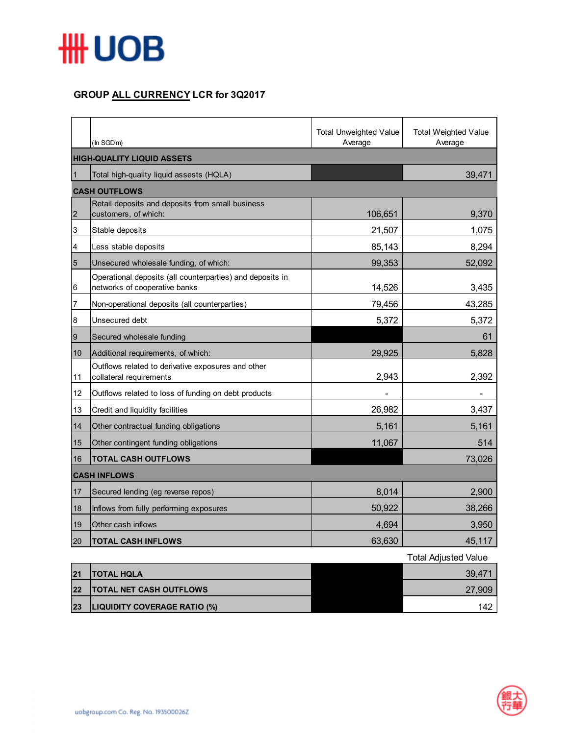

## **GROUP ALL CURRENCY LCR for 3Q2017**

|                                   | (In SGD'm)                                                                                 | <b>Total Unweighted Value</b><br>Average | <b>Total Weighted Value</b><br>Average |  |  |
|-----------------------------------|--------------------------------------------------------------------------------------------|------------------------------------------|----------------------------------------|--|--|
| <b>HIGH-QUALITY LIQUID ASSETS</b> |                                                                                            |                                          |                                        |  |  |
| 1                                 | Total high-quality liquid assests (HQLA)                                                   |                                          | 39,471                                 |  |  |
|                                   | <b>CASH OUTFLOWS</b>                                                                       |                                          |                                        |  |  |
| $\overline{2}$                    | Retail deposits and deposits from small business<br>customers, of which:                   | 106,651                                  | 9,370                                  |  |  |
| 3                                 | Stable deposits                                                                            | 21,507                                   | 1,075                                  |  |  |
| 4                                 | Less stable deposits                                                                       | 85,143                                   | 8,294                                  |  |  |
| $\overline{5}$                    | Unsecured wholesale funding, of which:                                                     | 99,353                                   | 52,092                                 |  |  |
| 6                                 | Operational deposits (all counterparties) and deposits in<br>networks of cooperative banks | 14,526                                   | 3,435                                  |  |  |
| 7                                 | Non-operational deposits (all counterparties)                                              | 79,456                                   | 43,285                                 |  |  |
| $\bf 8$                           | Unsecured debt                                                                             | 5,372                                    | 5,372                                  |  |  |
| $\boldsymbol{9}$                  | Secured wholesale funding                                                                  |                                          | 61                                     |  |  |
| 10                                | Additional requirements, of which:                                                         | 29,925                                   | 5,828                                  |  |  |
| 11                                | Outflows related to derivative exposures and other<br>collateral requirements              | 2,943                                    | 2,392                                  |  |  |
| 12                                | Outflows related to loss of funding on debt products                                       |                                          |                                        |  |  |
| 13                                | Credit and liquidity facilities                                                            | 26,982                                   | 3,437                                  |  |  |
| 14                                | Other contractual funding obligations                                                      | 5,161                                    | 5,161                                  |  |  |
| 15                                | Other contingent funding obligations                                                       | 11,067                                   | 514                                    |  |  |
| 16                                | <b>TOTAL CASH OUTFLOWS</b>                                                                 |                                          | 73,026                                 |  |  |
|                                   | <b>CASH INFLOWS</b>                                                                        |                                          |                                        |  |  |
| 17                                | Secured lending (eg reverse repos)                                                         | 8,014                                    | 2,900                                  |  |  |
| 18                                | Inflows from fully performing exposures                                                    | 50,922                                   | 38,266                                 |  |  |
| 19                                | Other cash inflows                                                                         | 4,694                                    | 3,950                                  |  |  |
| 20                                | <b>TOTAL CASH INFLOWS</b>                                                                  | 63,630                                   | 45,117                                 |  |  |
|                                   |                                                                                            |                                          | <b>Total Adjusted Value</b>            |  |  |

|    |                                     | ι νιαι πυιυσισυ ναιυσ |
|----|-------------------------------------|-----------------------|
| 21 | <b>TOTAL HQLA</b>                   | 39.471                |
| 22 | <b>TOTAL NET CASH OUTFLOWS</b>      | 27,909                |
| 23 | <b>LIQUIDITY COVERAGE RATIO (%)</b> | 142                   |